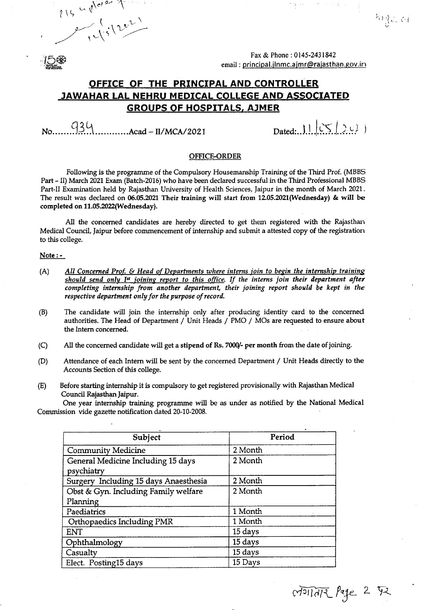$915 - 1022$ 

Fax & Phone: 0145-2431842 email: principal.jlnmc.ajmr@rajasthan.gov.in

 $\frac{m}{2}$  (37)

### **,OFFICE OF THE PRINCIPAL AND CONTROLLER JAWAHAR LAL NEHRU MEDICAL COLLEGE** AND" **ASSOCIATED GROUPS OF HOSPITALS, AlMER**

 $q_3\qquad$ <br> $\qquad \qquad \ldots \ldots \text{Acad} - I1/MCA/2021$  Dated:..J.I. $|CS| > c$ .

 $\phi^{(n)}_{\alpha}(\mathbb{C}^n,\mathbb{R}^n,\mathbb{R})$ 

 $\mathbb{Z}_2$  , or

#### OFFICE-ORDER

Following is the programme of the Compulsory Housemanship Training of the Third Prof. (MBBS Part - II) March 2021 Exam (Batch-2016) who have been declared successful in the Third Professional MBBS Part-II Examination held by Rajasthan University of Health Sciences, Jaipur in the month of March 2021. The result was declared on 06.05.2021 Their training will start from 12.05.2021(Wednesday) & will be completed on 11.05.2022(Wednesday).

All the concerned candidates are hereby directed to get them registered with the Rajasthan Medical Council, Jaipur before commencement of internship and submit a attested copy of the registration to this college.

#### Note:-

- (A) *All Concerned Prot* & *Head of Departments where interns join to begin the internship training should send only 1st joining report to this office. If the interns join their department after completing internship from another department, their joining report should be kept in the respective department only for the purpose of record.*
- (B) The candidate will join the internship only after producing identity card to the concerned authorities. The Head of Department / Unit Heads / PMO / MOs are requested to ensure about the Intern concerned.
- (C) All the concerned candidate will get a stipend of Rs. 7000/- per month from the date of joining.
- (D) Attendance of each Intern will be sent by the concerned Department / Unit Heads directly to the Accounts Section of this college.
- (E) Before starting internship it is compulsory to get registered provisionally with Rajasthan Medical Council Rajasthan Jaipur.

One year internship training programme will be as under as notified by the National Medical Commission vide gazette notification dated 20-10-2008.

| Subject                                          | Period  |
|--------------------------------------------------|---------|
| <b>Community Medicine</b>                        | 2 Month |
| General Medicine Including 15 days<br>psychiatry | 2 Month |
| Surgery Including 15 days Anaesthesia            | 2 Month |
| Obst & Gyn. Including Family welfare             | 2 Month |
| Planning                                         |         |
| Paediatrics                                      | 1 Month |
| Orthopaedics Including PMR                       | 1 Month |
| <b>ENT</b>                                       | 15 days |
| Ophthalmology                                    | 15 days |
| Casualty                                         | 15 days |
| Elect. Posting15 days                            | 15 Days |

*c1~IT0/-\\_ f~e\_* 2. tj\_z '\_'/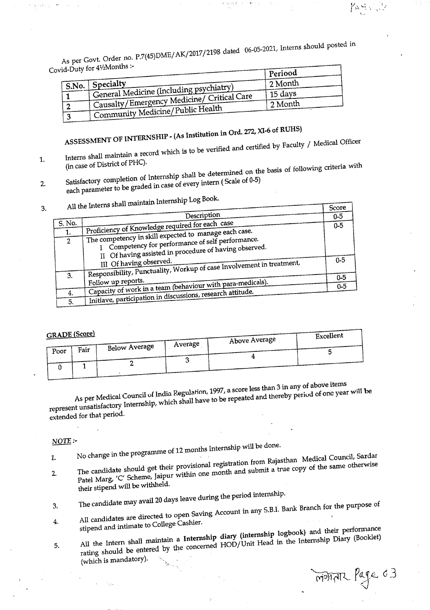As per Govt. Order no. P.7(45)DME/AK/2017/2198 dated 06-05-2021, Interns should posted in **Covid-Duty for 41/Months :-**

ant t

| $10 - 10$         |                                               | Periood |
|-------------------|-----------------------------------------------|---------|
| $^{\prime}$ S.No. | $\perp$ Specialty                             | 2 Month |
|                   | General Medicine (Including psychiatry)       | 15 days |
|                   | Causalty/Emergency Medicine/ Critical Care    | 2 Month |
|                   | <sup>1</sup> Community Medicine/Public Health |         |

# **ASSESSMENT OF INTERNSHIP - (As Institution in Ord. 272, XI-6 of RUHS)**

Interns shall maintain a record which is to be verified and certified by Faculty / Medical Officer

**(in case of District of PHC).** Satisfactory completion of Internship shall be determined on the basis of following criteria with **each parameter to be graded in case of every intern ( Scale of 0-5)**  $2.$ 

**3. All the Interns shall maintain Internship Log Book.**

|                |                                                                                                            | $\sim$  |
|----------------|------------------------------------------------------------------------------------------------------------|---------|
|                | Description                                                                                                | $0 - 5$ |
| S. No.         | Proficiency of Knowledge required for each case                                                            | $0 - 5$ |
| 1.             |                                                                                                            |         |
| $\overline{2}$ | The competency in skill expected to manage each case.<br>I Competency for performance of self performance. |         |
|                |                                                                                                            |         |
|                | II Of having assisted in procedure of having observed.                                                     |         |
|                | III Of having observed.<br>Responsibility, Punctuality, Workup of case Involvement in treatment,           | $0 - 5$ |
| 3.             |                                                                                                            |         |
|                | Follow up reports.                                                                                         | $0 - 5$ |
|                | Capacity of work in a team (behaviour with para-medicals).                                                 | $0 - 5$ |
| 4.             | Initiave, participation in discussions, research attitude.                                                 |         |
| 5.             |                                                                                                            |         |

#### **GRADE** (Score)

 $\frac{1}{2}$  and  $\frac{1}{2}$ 

 $1.$ 

| <b>GRADE SCOLE</b> |      |               |         | Above Average | Excellent |
|--------------------|------|---------------|---------|---------------|-----------|
| Poor               | Fair | Below Average | Average |               |           |
|                    |      |               |         |               |           |
|                    |      |               |         |               |           |

**As per Medical Council uf1ndia Regulation, 1997, a score less than 3 in any of above items** represent unsatisfactory Internship, which shall have to be repeated and thereby period of one year will be **extended for that period.**

#### *NOTE:-*

**1. No change in the programme of 12 months Internship will be done.**

- **their stipend** will be withheld.<br> **their** stipend will be withheld.  $\frac{1}{2}$ . The candidate provisional registration from Rajasulation from  $\frac{1}{2}$  the same otherwise  $2.$ **Patel Marg, 'C' Scheme, Jaipur within one month and submit a true copy of the same otherwise**
- **3. The candidate may** avail 20 **days leave during the period internship.**
- All candidates are directed to open Saving Account in any S.B.I. Bank Branch for the purpose of **stipend and intimate to College Cashier.**  $4.$
- The content of the concerned HOD/Unit Head in the Internship Diary (Booklet) (which is mandatory). **5. All the Intern shall maintain a Internship diary (internship logbook) and their performance** 5. All the Intern shall manufacture concerned  $HOD/U$ nit Head in the Internship Diary (Booklet)

MONTHE Page 0.3

 $T_{\text{corr}}$ 

Participity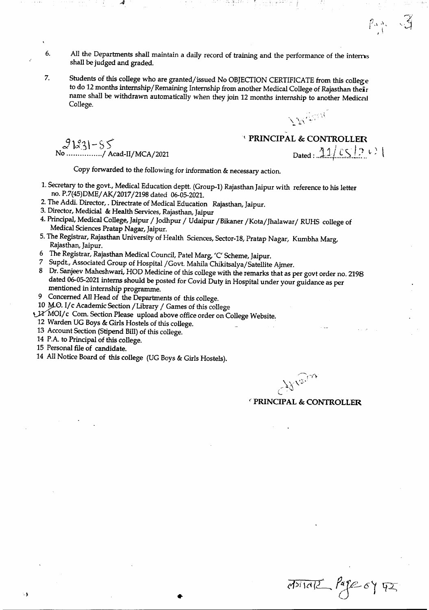- 6. All the Departments shall maintain a daily record of training and the performance of the intems shall be judged and graded.
- 7. Students of this college who are granted/issued No OBJECTION CERTIFICATE from this college to do 12 months internship/Remaining Internship from another Medical College of Rajasthan their name shall be withdrawn automatically when they join 12 months internship to another Medical College.

 $21231 - 55$ No .............../ Acad-II/MCA/202

<sup>t</sup> **PRINCIPAL & CONTROLLER** *11 <sup>i</sup> .,.-* I'}"; Dated : .....*;;-::.I ... ~.':>..~..:...*

K<sup>Agrin</sup>

 $\rho_{\alpha\frac{N}{4}e}$ 

Copy forwarded to the following for information & necessary action.

- 1.Secretary to the govt., Medical Education deptt. (Group-I) Rajasthan Jaipur with reference to his letter no. P.7(45)DME/*AK/2017/2198* dated 06-05-2021.
- 2. The Addi. Director, . Directrate of Medical Education Rajasthan, Jaipur.
- 3. Director, Medicial & Health Services, Rajasthan, Jaipur
- 4. Principal, Medical College, Jaipur / Jodhpur / Udaipur /Bikaner /Kota/Jhalawar/ RUHS college of Medical Sciences Pratap Nagar, Jaipur.
- 5. The Registrar, Rajasthan University of Health Sciences, Sector-18, Pratap Nagar, Kumbha Marg, Rajasthan, Jaipur.

•

- 6 The Registrar, Rajasthan Medical Council, Patel Marg, 'C' Scheme,Jaipur.
- 7 Supdt., Associated Group of Hospital /Govt. Mahila Chikitsalya/Satellite Ajmer.
- 8 Dr. Sanjeev Maheshwari, HOD Medicine of this college with the remarks that as per govt order no. 2198 dated 06-05-2021 interns should be posted for Covid Duty in Hospital under your guidance as per mentioned in internship programme.
- 9 Concerned All Head of the Departments of this college.
- 10 M.O. I/c Academic Section / Library / Games of this college
- ~MOI/ c Com. Section Please upload above office order on College Website.
- 12 Warden UG Boys & Girls Hostels of this college.
- 13 Account Section (Stipend Bill) of this college.
- 14 P.A. to Principal of this college.
- 15 Personal file of candidate.

14 All Notice Board of this college (UG Boys & Girls Hostels).

Where

*<sup>c</sup>* **PRINCIPAL & CONTROLLER**

 $\overline{d^{p}(\alpha)}$   $\overline{d^{p}(\alpha)}$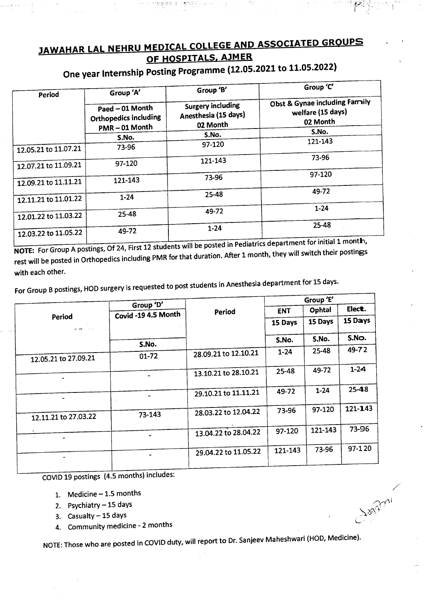## JAWAHAR LAL NEHRU MEDICAL COLLEGE AND ASSOCIATED GROUPS OF HOSPITALS, AJMER

aman matangguse

| Period               | Group 'A'                                                | Group 'B'                                             | Group 'C'<br>Obst & Gynae including Family<br>welfare (15 days)<br>02 Month |  |
|----------------------|----------------------------------------------------------|-------------------------------------------------------|-----------------------------------------------------------------------------|--|
|                      | Paed - 01 Month<br>Orthopedics including<br>PMR-01 Month | Surgery including<br>Anesthesia (15 days)<br>02 Month |                                                                             |  |
|                      | S.No.                                                    | S.No.                                                 | S.No.                                                                       |  |
| 12.05.21 to 11.07.21 | 73-96                                                    | 97-120                                                | 121-143                                                                     |  |
| 12.07.21 to 11.09.21 | 97-120                                                   | 121-143                                               | 73-96                                                                       |  |
| 12.09.21 to 11.11.21 | 121-143                                                  | 73-96                                                 | 97-120                                                                      |  |
| 12.11.21 to 11.01.22 | $1 - 24$                                                 | 25-48                                                 | 49-72                                                                       |  |
|                      | 25-48                                                    | 49-72                                                 | $1 - 24$                                                                    |  |
| 12.01.22 to 11.03.22 |                                                          | $1 - 24$                                              | 25-48                                                                       |  |
| 12.03.22 to 11.05.22 | 49-72                                                    |                                                       |                                                                             |  |

## One year Internship Posting Programme (12.05.2021 to 11.05.2022)

 $N$ OTE: For Group A postings, Of 24, First 12 students will be posted in Pediatrics department for initial 1 month. rest will be posted in Orthopedics including PMR for that duration. After 1 month, they will switch their postings with each other.

For Group B postings, HOD surgery is requested to post students in Anesthesia department for 15 days.

|                                                  | Group 'D'           |                      |            | Group 'E' |           |
|--------------------------------------------------|---------------------|----------------------|------------|-----------|-----------|
|                                                  | Covid -19 4.5 Month | Period               | <b>ENT</b> | Ophtal    | Elect.    |
| Period<br>$\Delta$ , and $\Delta$ , and $\Delta$ |                     |                      | 15 Days    | 15 Days   | 15 Days   |
|                                                  |                     |                      |            | S.No.     | S.No.     |
|                                                  | S.No.               |                      | S.No.      |           |           |
| 12.05.21 to 27.09.21                             | $01 - 72$           | 28.09.21 to 12.10.21 | $1 - 24$   | 25-48     | 49-72     |
|                                                  |                     | 13.10.21 to 28.10.21 | 25-48      | 49-72     | $1 - 24$  |
|                                                  |                     | 29.10.21 to 11.11.21 | 49-72      | $1 - 24$  | $25 - 48$ |
|                                                  |                     |                      |            |           |           |
| 12.11.21 to 27.03.22                             | 73-143              | 28.03.22 to 12.04.22 | 73-96      | 97-120    | 121-143   |
|                                                  |                     | 13.04.22 to 28.04.22 | 97-120     | 121-143   | 73-96     |
| ٠                                                |                     | 29.04.22 to 11.05.22 | 121-143    | 73-96     | 97-120    |
|                                                  |                     |                      |            |           |           |

COVID19 postings (4.5 months) includes:

- 1. Medicine-1.5 months
- 2. Psychiatry 15 days
- 3. Casualty  $-15$  days
- 4. Community medicine 2 months

NOTE: Those who are posted in COVID duty, will report to Dr. Sanjeev Maheshwari (HOD, Medicine).

 $\sim$ ni *~d~!'*

L. .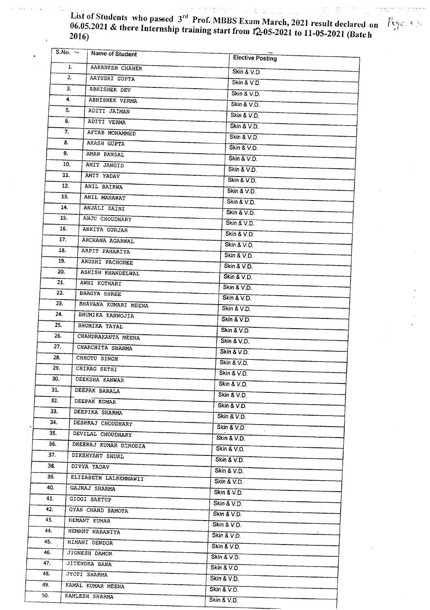List of Students who passed 3<sup>rd</sup> Prof. MBBS Exam March, 2021 result declared on 06.05.2021 & there Internship training start from  $12-05-2021$  to 11-05-2021 (Rate h 2016)

195. e

 $\epsilon=2$  , and rule  $\gamma$ 

|     | $S.No.$ $\sim$ |    | Name of Student       | <b>Elective Posting</b>    |
|-----|----------------|----|-----------------------|----------------------------|
| 1.  |                |    | AAKANKSH CHAHER       | Skin & V.D.                |
|     |                | 2. | AAYUSHI GUPTA         | Skin & V.D.                |
|     |                | З. | ABHISHEK DEV          |                            |
|     |                | 4. | ABHISHEK VERMA        | Skin & V.D.<br>Skin & V.D. |
|     | 5.             |    | ADITI JAIMAN          | Skin & V.D.                |
|     | 6.             |    | ADITI VERMA           | Skin & V.D.                |
|     | 7.             |    | AFTAB MOHAMMED        | Skin & V.D.                |
|     | 8.             |    | AKASH GUPTA           |                            |
|     | 9.             |    | AMAN BANSAL           | Skin & V.D.                |
|     | 10.            |    | AMIT JANGID           | Skin & V.D.                |
|     | 11.            |    | AMIT YADAV            | Skin & V.D.                |
|     | 12.            |    | ANIL BAIRWA           | Skin & V.D.<br>Skin & V.D. |
|     | 13.            |    | ANIL MANAWAT          | Skin & V.D.                |
|     | 14.            |    | ANJALI SAINI          |                            |
|     | 15.            |    | ANJU CHOUDHARY        | Skin & V.D.<br>Skin & V.D. |
|     | 16.            |    | ANKITA GURJAR         | Skin & V.D.                |
|     | 17.            |    | ARCHANA AGARWAL       | Skin & V.D.                |
|     | 18.            |    | ARPIT PAHARIYA        | Skin & V.D.                |
|     | 19.            |    | ARUSHI PACHOREE       | Skin & V.D.                |
|     | 20.            |    | ASHISH KHANDELWAL     | Skin & V.D.                |
|     | 21.            |    | AWNI KOTHARI          | Skin & V.D.                |
|     | 22.            |    | BHAGYA SHREE          | Skin & V.D.                |
|     | 23.            |    | BHAVANA KUMARI MEENA  | Skin & V.D.                |
|     | 24.            |    | BHUMIKA KANNOJIA      | Skin & V.D.                |
|     | 25.            |    | BHUMIKA TAYAL         | Skin & V.D.                |
|     | 26.            |    | CHANDRAKANTA MEENA    | Skin & V.D.                |
|     | 27.            |    | CHARCHITA SHARMA      | Skin & V.D.                |
|     | 28.            |    | CHHOTU SINGH          | Skin & V.D.                |
|     | 29.            |    | CHIRAG SETHI          | Skin & V.D.                |
|     | 30.            |    | DEEKSHA KANWAR        | Skin & V.D.                |
|     | 31.            |    | DEEPAK BARALA         | Skin & V.D.                |
|     | 32.            |    | DEEPAK KUMAR          | Skin & V.D.                |
|     | 33.            |    | DEEPIKA SHARMA        | Skin & V.D.                |
|     | 34.            |    | DESHRAJ CHOUDHARY     | Skin & V.D.                |
| 35. |                |    | DEVILAL CHOUDHARY     | Skin & V.D.                |
| 36. |                |    | DHEERAJ KUMAR DERODIA | Skin & V.D.                |
| 37. |                |    | DIKSHYANT SHUKL       | Skin & V.D.                |
| 38. |                |    | DIVYA YADAV           | Skin & V.D.                |
| 39. |                |    | ELIZABETH LALREMMAWII | Skin & V.D.                |
| 40. |                |    | GAJRAJ SHARMA         | Skin & V.D.                |
| 41. |                |    | GIOGI SAKTUP          | Skin & V.D.                |
| 42. |                |    | GYAN CHAND SAMOTA     | Skin & V.D.                |
| 43. |                |    | HEMANT KUMAR          | Skin & V.D.                |
| 44. |                |    | HEMANT NARANIYA       | Skin & V.D.                |
| 45. |                |    | HIMANI DENDOR         | Skin & V.D.                |
| 46. |                |    | JIGNESH DAMOR         | Skin & V.D.                |
| 47. |                |    | JITENDRA BANA         | Skin & V.D.                |
| 48. |                |    | <b>JYOTI SHARMA</b>   | Skin & V.D.                |
| 49. |                |    | KAMAL KUMAR MEENA     | Skin & V.D.                |
| 50. |                |    | KAMLESH SHARMA        | Skin & V.D.                |
|     |                |    |                       |                            |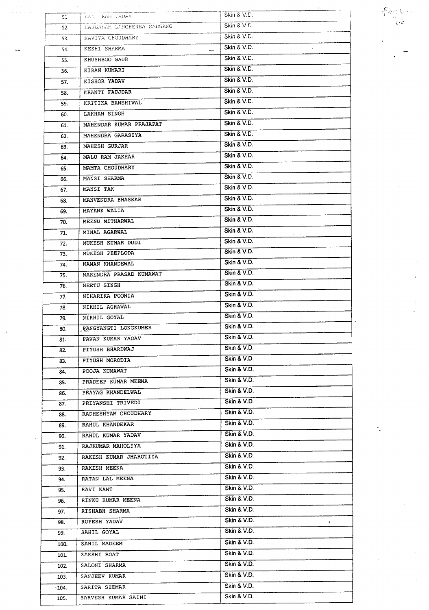| 51.     | けいおういせい いちけいしょうしょ<br>KAN - KAH YADAV | Skin & V.D.           |
|---------|--------------------------------------|-----------------------|
| 52.     | KANGABAN LANCHENBA MANGANG           | Skin & V.D.           |
| 53.     | KAVITA CHOUDHARY                     | Skin & V.D.           |
| 54.     | KESHI SHARMA                         | Skin & V.D.           |
| 55.     | KHUSHBOO GAUR                        | Skin & V.D.           |
| 56.     | KIRAN KUMARI                         | Skin & V.D.           |
| 57.     | KISHOR YADAV                         | Skin & V.D.           |
| 58.     | <b>FRANTI FAUJDAR</b>                | Skin & V.D.           |
| 59.     | KRITIKA BANSHIWAL                    | Skin & V.D.           |
| 60.     | LAKHAN SINGH                         | Skin & V.D.           |
| 61.     | MAHENDAR KUMAR PRAJAPAT              | Skin & V.D.           |
| 62.     | MAHENDRA GARASIYA                    | Skin & V.D.           |
| 63.     | MAHESH GURJAR                        | Skin & V.D.           |
| 64.     | MALU RAM JAKHAR                      | Skin & V.D.           |
| 65.     | MAMTA CHOUDHARY                      | Skin & V.D.           |
| 66.     | MANSI SHARMA                         | Skin & V.D.           |
| 67.     | MANSI TAK                            | Skin & V.D.           |
| 68.     | MANVENDRA BHASKAR                    | Skin & V.D.           |
| 69.     | MAYANK WALIA                         | Skin & V.D.           |
| 70.     | MEENU MITHARWAL                      | Skin & V.D.           |
| 71.     | MINAL AGARWAL                        | Skin & V.D.           |
| 72.     | MUKESH KUMAR DUDI                    | Skin & V.D.           |
| 73.     | MUKESH PEEPLODA                      | Skin & V.D.           |
| 74.     | NAMAN KHANDEWAL                      | Skin & V.D.           |
| 75.     | NARENDRA PRASAD KUMAWAT              | Skin & V.D.           |
| 76.     | NEETU SINGH                          | Skin & V.D.           |
| 77.     | NIHARIKA POONIA                      | Skin & V.D.           |
| 78.     | NIKHIL AGRAWAL                       | Skin & V.D.           |
| 79.     | NIKHIL GOYAL                         | Skin & V.D.           |
| 80.     | PANGYANGTI LONGKUMER                 | Skin & V.D.           |
| 81.     | PAWAN KUMAR YADAV                    | Skin & V.D.           |
| 82.     | PIYUSH BHARDWAJ                      | Skin & V.D.           |
| 83.     | PIYUSH MORODIA                       | Skin & V.D.           |
| 84.     | POOJA KUMAWAT                        | Skin & V.D.           |
| 85.     | PRADEEP KUMAR MEENA                  | Skin & V.D.           |
| 86.     | PRAYAG KHANDELWAL                    | Skin & V.D.           |
| 87.     | PRIYANSHI TRIVEDI                    | Skin & V.D.           |
| 88.     | RADHESHYAM CHOUDHARY                 | Skin & V.D.           |
| 89.     | RAHUL KHANDEKAR                      | Skin & V.D.           |
| 90.     | RAHUL KUMAR YADAV                    | Skin & V.D.           |
| 91.     | RAJKUMAR MAHOLIYA                    | Skin & V.D.           |
| 92.     | RAKESH KUMAR JHAROTIYA               | Skin & V.D.<br>$\sim$ |
| 93.     | RAKESH MEENA                         | Skin & V.D.           |
| 94.     | RATAN LAL MEENA                      | Skin & V.D.           |
| 95.     | RAVI KANT                            | Skin & V.D.           |
| 96.     | RINKU KUMAR MEENA                    | Skin & V.D.           |
| 97.     | RISHABH SHARMA                       | Skin & V.D.           |
| 98.     | RUPESH YADAV                         | Skin & V.D.<br>¢.     |
| 99.     | SAHIL GOYAL                          | Skin & V.D.           |
| 100.    | SAHIL NADEEM                         | Skin & V.D.           |
| 101.    | SAKSHI ROAT                          | Skin & V.D.           |
| 102.    | SALONI SHARMA                        | Skin & V.D.           |
| 103.    | SANJEEV KUMAR                        | $\sim$<br>Skin & V.D. |
| $-104.$ | SARITA SEEMAR                        | Skin & V.D.           |
| 105.    | SARVESH KUMAR SAINI                  | Skin & V.D.           |

 $\begin{array}{c} \left(\mathcal{S}_{\mathcal{A}}^{\mathcal{A}}\right)_{\mathcal{A}}\left(\mathcal{A}\right)\\ \left(\mathcal{A}_{\mathcal{A}}\right)_{\mathcal{A}}\\ \left(\mathcal{A}_{\mathcal{A}}\right)_{\mathcal{A}}\left(\mathcal{A}_{\mathcal{A}}\right)_{\mathcal{A}} \end{array}$ 

۰.

 $\overline{\phantom{0}}$  $\ddot{\phantom{a}}$